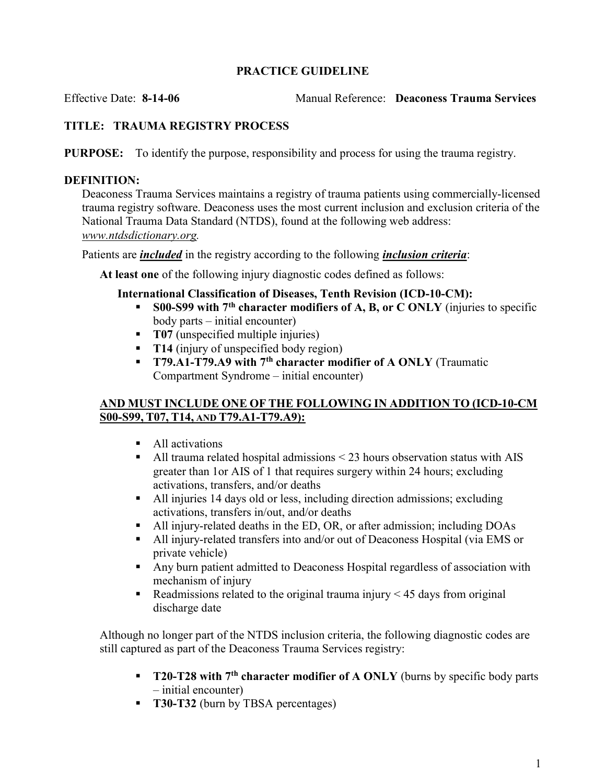### PRACTICE GUIDELINE

Effective Date: 8-14-06 Manual Reference: Deaconess Trauma Services

# TITLE: TRAUMA REGISTRY PROCESS

PURPOSE: To identify the purpose, responsibility and process for using the trauma registry.

### DEFINITION:

Deaconess Trauma Services maintains a registry of trauma patients using commercially-licensed trauma registry software. Deaconess uses the most current inclusion and exclusion criteria of the National Trauma Data Standard (NTDS), found at the following web address: www.ntdsdictionary.org.

Patients are *included* in the registry according to the following *inclusion criteria*:

At least one of the following injury diagnostic codes defined as follows:

#### International Classification of Diseases, Tenth Revision (ICD-10-CM):

- S00-S99 with  $7<sup>th</sup>$  character modifiers of A, B, or C ONLY (injuries to specific body parts – initial encounter)
- **T07** (unspecified multiple injuries)
- **T14** (injury of unspecified body region)
- **T79.A1-T79.A9 with 7<sup>th</sup> character modifier of A ONLY** (Traumatic Compartment Syndrome – initial encounter)

### AND MUST INCLUDE ONE OF THE FOLLOWING IN ADDITION TO (ICD-10-CM S00-S99, T07, T14, AND T79.A1-T79.A9):

- All activations
- $\blacksquare$  All trauma related hospital admissions < 23 hours observation status with AIS greater than 1or AIS of 1 that requires surgery within 24 hours; excluding activations, transfers, and/or deaths
- All injuries 14 days old or less, including direction admissions; excluding activations, transfers in/out, and/or deaths
- All injury-related deaths in the ED, OR, or after admission; including DOAs
- All injury-related transfers into and/or out of Deaconess Hospital (via EMS or private vehicle)
- Any burn patient admitted to Deaconess Hospital regardless of association with mechanism of injury
- Readmissions related to the original trauma injury  $\leq$  45 days from original discharge date

Although no longer part of the NTDS inclusion criteria, the following diagnostic codes are still captured as part of the Deaconess Trauma Services registry:

- **T20-T28 with 7<sup>th</sup> character modifier of A ONLY** (burns by specific body parts – initial encounter)
- **T30-T32** (burn by TBSA percentages)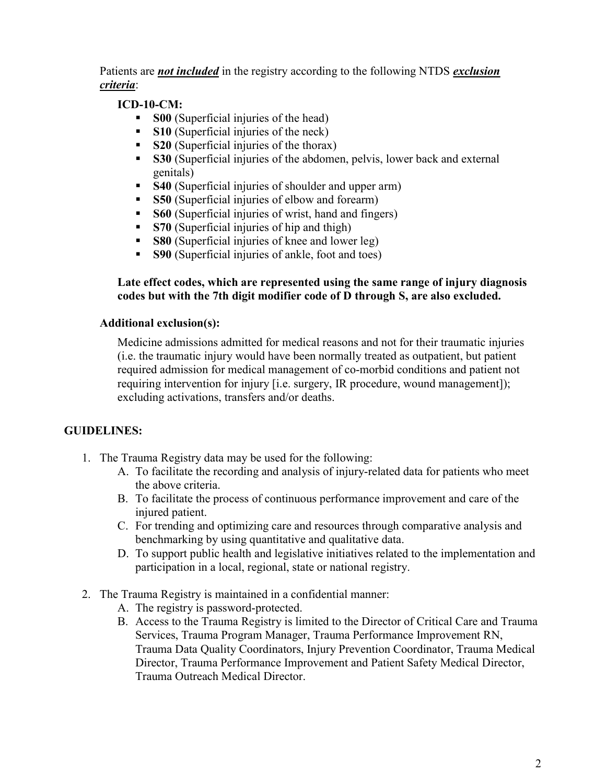Patients are *not included* in the registry according to the following NTDS *exclusion* criteria:

## ICD-10-CM:

- S00 (Superficial injuries of the head)
- S10 (Superficial injuries of the neck)
- S20 (Superficial injuries of the thorax)
- S30 (Superficial injuries of the abdomen, pelvis, lower back and external genitals)
- S40 (Superficial injuries of shoulder and upper arm)
- S50 (Superficial injuries of elbow and forearm)
- S60 (Superficial injuries of wrist, hand and fingers)
- S70 (Superficial injuries of hip and thigh)
- S80 (Superficial injuries of knee and lower leg)
- **S90** (Superficial injuries of ankle, foot and toes)

### Late effect codes, which are represented using the same range of injury diagnosis codes but with the 7th digit modifier code of D through S, are also excluded.

### Additional exclusion(s):

Medicine admissions admitted for medical reasons and not for their traumatic injuries (i.e. the traumatic injury would have been normally treated as outpatient, but patient required admission for medical management of co-morbid conditions and patient not requiring intervention for injury [i.e. surgery, IR procedure, wound management]); excluding activations, transfers and/or deaths.

### GUIDELINES:

- 1. The Trauma Registry data may be used for the following:
	- A. To facilitate the recording and analysis of injury-related data for patients who meet the above criteria.
	- B. To facilitate the process of continuous performance improvement and care of the injured patient.
	- C. For trending and optimizing care and resources through comparative analysis and benchmarking by using quantitative and qualitative data.
	- D. To support public health and legislative initiatives related to the implementation and participation in a local, regional, state or national registry.
- 2. The Trauma Registry is maintained in a confidential manner:
	- A. The registry is password-protected.
	- B. Access to the Trauma Registry is limited to the Director of Critical Care and Trauma Services, Trauma Program Manager, Trauma Performance Improvement RN, Trauma Data Quality Coordinators, Injury Prevention Coordinator, Trauma Medical Director, Trauma Performance Improvement and Patient Safety Medical Director, Trauma Outreach Medical Director.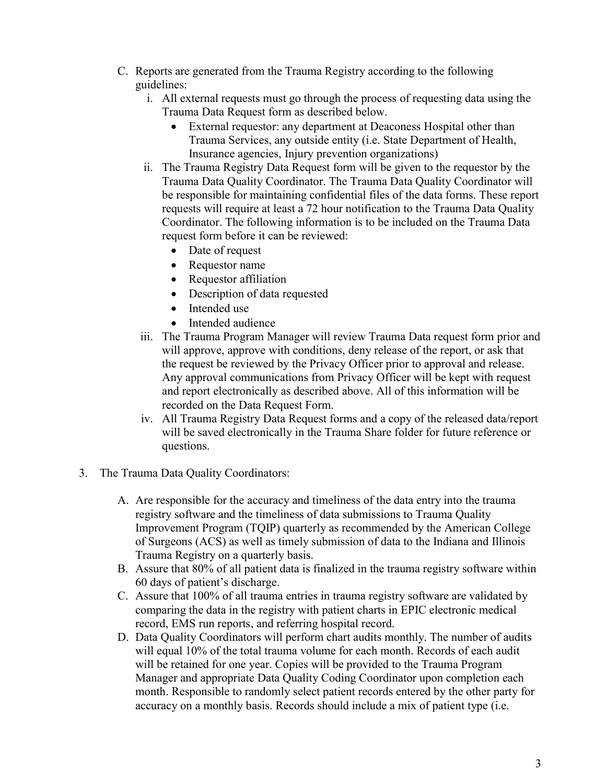- C. Reports are generated from the Trauma Registry according to the following guidelines:
	- i. All external requests must go through the process of requesting data using the Trauma Data Request form as described below.
		- External requestor: any department at Deaconess Hospital other than Trauma Services, any outside entity (i.e. State Department of Health, Insurance agencies, Injury prevention organizations)
	- ii. The Trauma Registry Data Request form will be given to the requestor by the Trauma Data Quality Coordinator. The Trauma Data Quality Coordinator will be responsible for maintaining confidential files of the data forms. These report requests will require at least a 72 hour notification to the Trauma Data Quality Coordinator. The following information is to be included on the Trauma Data request form before it can be reviewed:
		- Date of request
		- Requestor name
		- Requestor affiliation
		- Description of data requested
		- Intended use
		- Intended audience
	- iii. The Trauma Program Manager will review Trauma Data request form prior and will approve, approve with conditions, deny release of the report, or ask that the request be reviewed by the Privacy Officer prior to approval and release. Any approval communications from Privacy Officer will be kept with request and report electronically as described above. All of this information will be recorded on the Data Request Form.
	- iv. All Trauma Registry Data Request forms and a copy of the released data/report will be saved electronically in the Trauma Share folder for future reference or questions.
- 3. The Trauma Data Quality Coordinators:
	- A. Are responsible for the accuracy and timeliness of the data entry into the trauma registry software and the timeliness of data submissions to Trauma Quality Improvement Program (TQIP) quarterly as recommended by the American College of Surgeons (ACS) as well as timely submission of data to the Indiana and Illinois Trauma Registry on a quarterly basis.
	- B. Assure that 80% of all patient data is finalized in the trauma registry software within 60 days of patient's discharge.
	- C. Assure that 100% of all trauma entries in trauma registry software are validated by comparing the data in the registry with patient charts in EPIC electronic medical record, EMS run reports, and referring hospital record.
	- D. Data Quality Coordinators will perform chart audits monthly. The number of audits will equal 10% of the total trauma volume for each month. Records of each audit will be retained for one year. Copies will be provided to the Trauma Program Manager and appropriate Data Quality Coding Coordinator upon completion each month. Responsible to randomly select patient records entered by the other party for accuracy on a monthly basis. Records should include a mix of patient type (i.e.